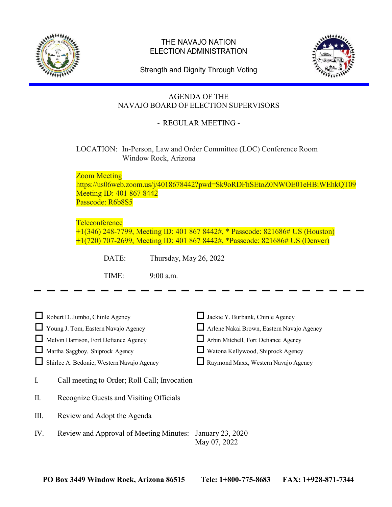

## THE NAVAJO NATION ELECTION ADMINISTRATION



Strength and Dignity Through Voting

# AGENDA OF THE NAVAJO BOARD OF ELECTION SUPERVISORS

# - REGULAR MEETING -

## LOCATION: In-Person, Law and Order Committee (LOC) Conference Room Window Rock, Arizona

Zoom Meeting

https://us06web.zoom.us/j/4018678442?pwd=Sk9oRDFhSEtoZ0NWOE01eHBiWEhkQT09 Meeting ID: 401 867 8442 Passcode: R6b8S5

## **Teleconference**

+1(346) 248-7799, Meeting ID: 401 867 8442#, \* Passcode: 821686# US (Houston) +1(720) 707-2699, Meeting ID: 401 867 8442#, \*Passcode: 821686# US (Denver)

DATE: Thursday, May 26, 2022

TIME: 9:00 a.m.

| $\Box$ Robert D. Jumbo, Chinle Agency     | Jackie Y. Burbank, Chinle Agency          |
|-------------------------------------------|-------------------------------------------|
| Young J. Tom, Eastern Navajo Agency       | Arlene Nakai Brown, Eastern Navajo Agency |
| Melvin Harrison, Fort Defiance Agency     | Arbin Mitchell, Fort Defiance Agency      |
| Martha Saggboy, Shiprock Agency           | Watona Kellywood, Shiprock Agency         |
| Shirlee A. Bedonie, Western Navajo Agency | Raymond Maxx, Western Navajo Agency       |

|  | Call meeting to Order; Roll Call; Invocation |
|--|----------------------------------------------|

II. Recognize Guests and Visiting Officials

III. Review and Adopt the Agenda

IV. Review and Approval of Meeting Minutes: January 23, 2020 May 07, 2022